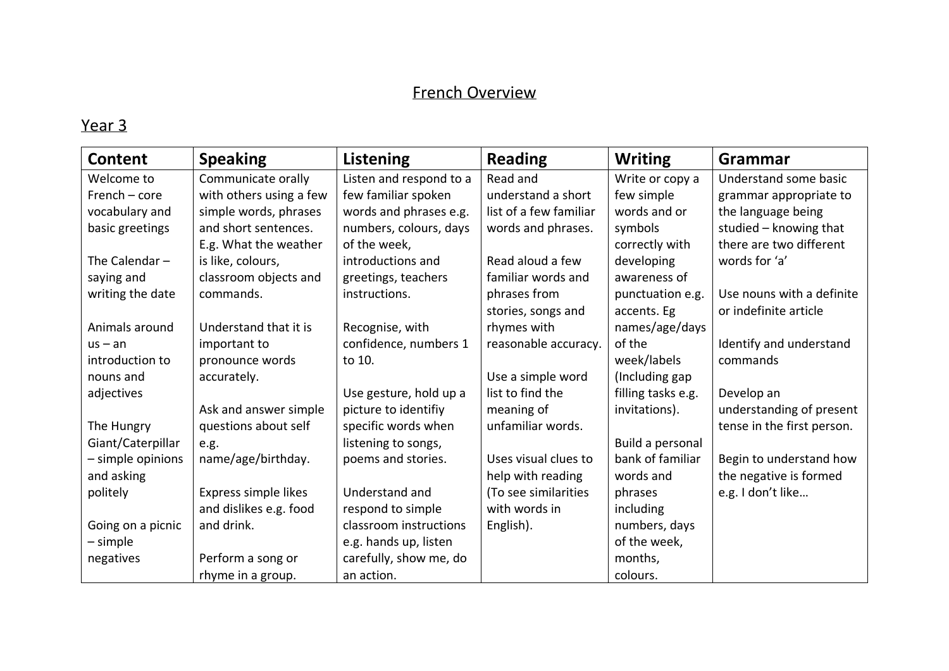### French Overview

| Content           | <b>Speaking</b>         | Listening               | <b>Reading</b>         | <b>Writing</b>     | Grammar                    |
|-------------------|-------------------------|-------------------------|------------------------|--------------------|----------------------------|
| Welcome to        | Communicate orally      | Listen and respond to a | Read and               | Write or copy a    | Understand some basic      |
| $French-core$     | with others using a few | few familiar spoken     | understand a short     | few simple         | grammar appropriate to     |
| vocabulary and    | simple words, phrases   | words and phrases e.g.  | list of a few familiar | words and or       | the language being         |
| basic greetings   | and short sentences.    | numbers, colours, days  | words and phrases.     | symbols            | studied - knowing that     |
|                   | E.g. What the weather   | of the week,            |                        | correctly with     | there are two different    |
| The Calendar $-$  | is like, colours,       | introductions and       | Read aloud a few       | developing         | words for 'a'              |
| saying and        | classroom objects and   | greetings, teachers     | familiar words and     | awareness of       |                            |
| writing the date  | commands.               | instructions.           | phrases from           | punctuation e.g.   | Use nouns with a definite  |
|                   |                         |                         | stories, songs and     | accents. Eg        | or indefinite article      |
| Animals around    | Understand that it is   | Recognise, with         | rhymes with            | names/age/days     |                            |
| $us - an$         | important to            | confidence, numbers 1   | reasonable accuracy.   | of the             | Identify and understand    |
| introduction to   | pronounce words         | to 10.                  |                        | week/labels        | commands                   |
| nouns and         | accurately.             |                         | Use a simple word      | (Including gap     |                            |
| adjectives        |                         | Use gesture, hold up a  | list to find the       | filling tasks e.g. | Develop an                 |
|                   | Ask and answer simple   | picture to identifiy    | meaning of             | invitations).      | understanding of present   |
| The Hungry        | questions about self    | specific words when     | unfamiliar words.      |                    | tense in the first person. |
| Giant/Caterpillar | e.g.                    | listening to songs,     |                        | Build a personal   |                            |
| - simple opinions | name/age/birthday.      | poems and stories.      | Uses visual clues to   | bank of familiar   | Begin to understand how    |
| and asking        |                         |                         | help with reading      | words and          | the negative is formed     |
| politely          | Express simple likes    | Understand and          | (To see similarities   | phrases            | e.g. I don't like          |
|                   | and dislikes e.g. food  | respond to simple       | with words in          | including          |                            |
| Going on a picnic | and drink.              | classroom instructions  | English).              | numbers, days      |                            |
| $-$ simple        |                         | e.g. hands up, listen   |                        | of the week,       |                            |
| negatives         | Perform a song or       | carefully, show me, do  |                        | months,            |                            |
|                   | rhyme in a group.       | an action.              |                        | colours.           |                            |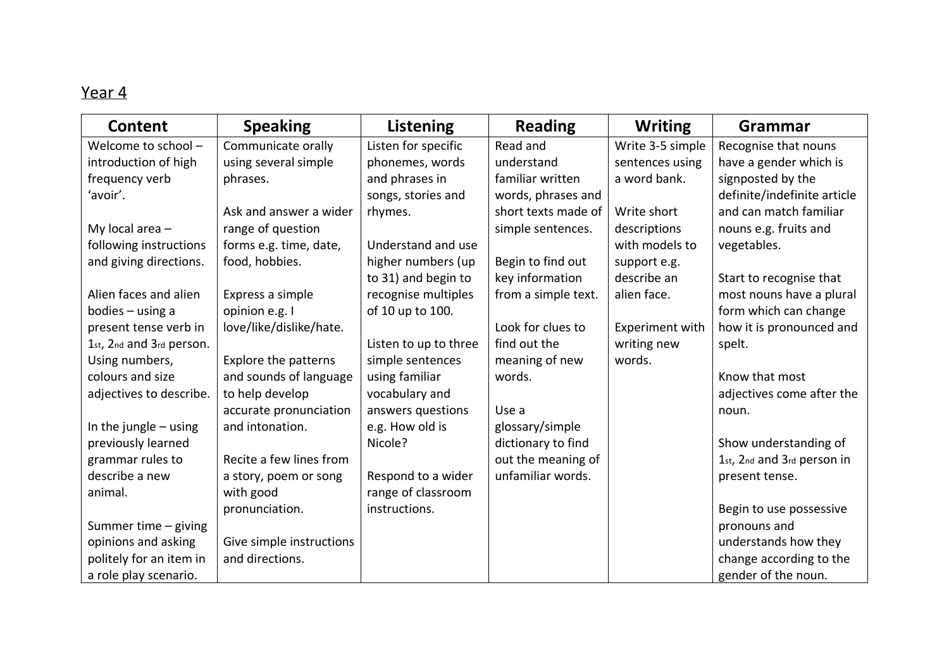| Content                  | <b>Speaking</b>             | Listening             | <b>Reading</b>      | <b>Writing</b>         | Grammar                     |
|--------------------------|-----------------------------|-----------------------|---------------------|------------------------|-----------------------------|
| Welcome to school -      | Communicate orally          | Listen for specific   | Read and            | Write 3-5 simple       | Recognise that nouns        |
| introduction of high     | using several simple        | phonemes, words       | understand          | sentences using        | have a gender which is      |
| frequency verb           | phrases.                    | and phrases in        | familiar written    | a word bank.           | signposted by the           |
| 'avoir'.                 |                             | songs, stories and    | words, phrases and  |                        | definite/indefinite article |
|                          | Ask and answer a wider      | rhymes.               | short texts made of | Write short            | and can match familiar      |
| My local area $-$        | range of question           |                       | simple sentences.   | descriptions           | nouns e.g. fruits and       |
| following instructions   | forms e.g. time, date,      | Understand and use    |                     | with models to         | vegetables.                 |
| and giving directions.   | food, hobbies.              | higher numbers (up    | Begin to find out   | support e.g.           |                             |
|                          |                             | to 31) and begin to   | key information     | describe an            | Start to recognise that     |
| Alien faces and alien    | Express a simple            | recognise multiples   | from a simple text. | alien face.            | most nouns have a plural    |
| bodies $-$ using a       | opinion e.g. I              | of 10 up to 100.      |                     |                        | form which can change       |
| present tense verb in    | love/like/dislike/hate.     |                       | Look for clues to   | <b>Experiment with</b> | how it is pronounced and    |
| 1st, 2nd and 3rd person. |                             | Listen to up to three | find out the        | writing new            | spelt.                      |
| Using numbers,           | <b>Explore the patterns</b> | simple sentences      | meaning of new      | words.                 |                             |
| colours and size         | and sounds of language      | using familiar        | words.              |                        | Know that most              |
| adjectives to describe.  | to help develop             | vocabulary and        |                     |                        | adjectives come after the   |
|                          | accurate pronunciation      | answers questions     | Use a               |                        | noun.                       |
| In the jungle $-$ using  | and intonation.             | e.g. How old is       | glossary/simple     |                        |                             |
| previously learned       |                             | Nicole?               | dictionary to find  |                        | Show understanding of       |
| grammar rules to         | Recite a few lines from     |                       | out the meaning of  |                        | 1st, 2nd and 3rd person in  |
| describe a new           | a story, poem or song       | Respond to a wider    | unfamiliar words.   |                        | present tense.              |
| animal.                  | with good                   | range of classroom    |                     |                        |                             |
|                          | pronunciation.              | instructions.         |                     |                        | Begin to use possessive     |
| Summer time - giving     |                             |                       |                     |                        | pronouns and                |
| opinions and asking      | Give simple instructions    |                       |                     |                        | understands how they        |
| politely for an item in  | and directions.             |                       |                     |                        | change according to the     |
| a role play scenario.    |                             |                       |                     |                        | gender of the noun.         |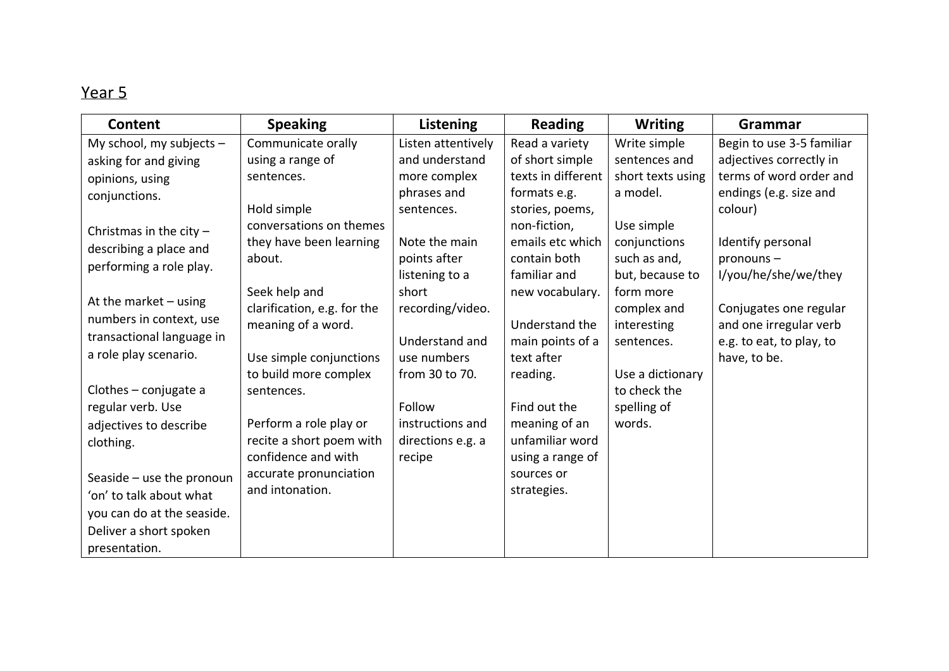| <b>Content</b>             | <b>Speaking</b>             | Listening          | <b>Reading</b>     | <b>Writing</b>    | Grammar                   |
|----------------------------|-----------------------------|--------------------|--------------------|-------------------|---------------------------|
| My school, my subjects $-$ | Communicate orally          | Listen attentively | Read a variety     | Write simple      | Begin to use 3-5 familiar |
| asking for and giving      | using a range of            | and understand     | of short simple    | sentences and     | adjectives correctly in   |
| opinions, using            | sentences.                  | more complex       | texts in different | short texts using | terms of word order and   |
| conjunctions.              |                             | phrases and        | formats e.g.       | a model.          | endings (e.g. size and    |
|                            | Hold simple                 | sentences.         | stories, poems,    |                   | colour)                   |
| Christmas in the city $-$  | conversations on themes     |                    | non-fiction,       | Use simple        |                           |
| describing a place and     | they have been learning     | Note the main      | emails etc which   | conjunctions      | Identify personal         |
| performing a role play.    | about.                      | points after       | contain both       | such as and,      | pronouns-                 |
|                            |                             | listening to a     | familiar and       | but, because to   | I/you/he/she/we/they      |
| At the market $-$ using    | Seek help and               | short              | new vocabulary.    | form more         |                           |
| numbers in context, use    | clarification, e.g. for the | recording/video.   |                    | complex and       | Conjugates one regular    |
|                            | meaning of a word.          |                    | Understand the     | interesting       | and one irregular verb    |
| transactional language in  |                             | Understand and     | main points of a   | sentences.        | e.g. to eat, to play, to  |
| a role play scenario.      | Use simple conjunctions     | use numbers        | text after         |                   | have, to be.              |
|                            | to build more complex       | from 30 to 70.     | reading.           | Use a dictionary  |                           |
| Clothes $-$ conjugate a    | sentences.                  |                    |                    | to check the      |                           |
| regular verb. Use          |                             | Follow             | Find out the       | spelling of       |                           |
| adjectives to describe     | Perform a role play or      | instructions and   | meaning of an      | words.            |                           |
| clothing.                  | recite a short poem with    | directions e.g. a  | unfamiliar word    |                   |                           |
|                            | confidence and with         | recipe             | using a range of   |                   |                           |
| Seaside - use the pronoun  | accurate pronunciation      |                    | sources or         |                   |                           |
| 'on' to talk about what    | and intonation.             |                    | strategies.        |                   |                           |
| you can do at the seaside. |                             |                    |                    |                   |                           |
| Deliver a short spoken     |                             |                    |                    |                   |                           |
| presentation.              |                             |                    |                    |                   |                           |